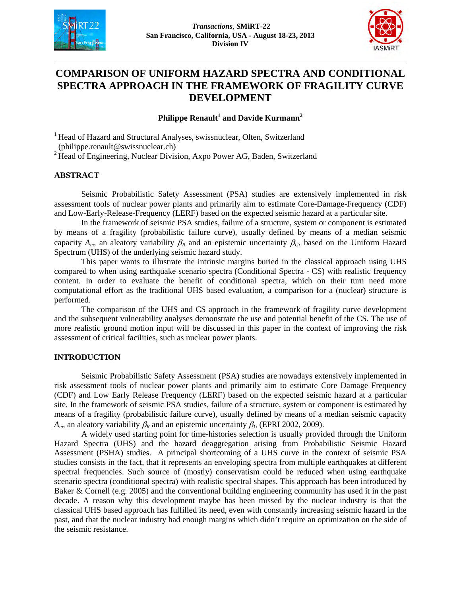



# **COMPARISON OF UNIFORM HAZARD SPECTRA AND CONDITIONAL SPECTRA APPROACH IN THE FRAMEWORK OF FRAGILITY CURVE DEVELOPMENT**

## **Philippe Renault<sup>1</sup> and Davide Kurmann2**

<sup>1</sup> Head of Hazard and Structural Analyses, swissnuclear, Olten, Switzerland (philippe.renault@swissnuclear.ch)

<sup>2</sup> Head of Engineering, Nuclear Division, Axpo Power AG, Baden, Switzerland

## **ABSTRACT**

Seismic Probabilistic Safety Assessment (PSA) studies are extensively implemented in risk assessment tools of nuclear power plants and primarily aim to estimate Core-Damage-Frequency (CDF) and Low-Early-Release-Frequency (LERF) based on the expected seismic hazard at a particular site.

In the framework of seismic PSA studies, failure of a structure, system or component is estimated by means of a fragility (probabilistic failure curve), usually defined by means of a median seismic capacity  $A_m$ , an aleatory variability  $\beta_R$  and an epistemic uncertainty  $\beta_U$ , based on the Uniform Hazard Spectrum (UHS) of the underlying seismic hazard study.

This paper wants to illustrate the intrinsic margins buried in the classical approach using UHS compared to when using earthquake scenario spectra (Conditional Spectra - CS) with realistic frequency content. In order to evaluate the benefit of conditional spectra, which on their turn need more computational effort as the traditional UHS based evaluation, a comparison for a (nuclear) structure is performed.

The comparison of the UHS and CS approach in the framework of fragility curve development and the subsequent vulnerability analyses demonstrate the use and potential benefit of the CS. The use of more realistic ground motion input will be discussed in this paper in the context of improving the risk assessment of critical facilities, such as nuclear power plants.

## **INTRODUCTION**

Seismic Probabilistic Safety Assessment (PSA) studies are nowadays extensively implemented in risk assessment tools of nuclear power plants and primarily aim to estimate Core Damage Frequency (CDF) and Low Early Release Frequency (LERF) based on the expected seismic hazard at a particular site. In the framework of seismic PSA studies, failure of a structure, system or component is estimated by means of a fragility (probabilistic failure curve), usually defined by means of a median seismic capacity *A<sub>m</sub>*, an aleatory variability  $\beta_R$  and an epistemic uncertainty  $\beta_U$  (EPRI 2002, 2009).

A widely used starting point for time-histories selection is usually provided through the Uniform Hazard Spectra (UHS) and the hazard deaggregation arising from Probabilistic Seismic Hazard Assessment (PSHA) studies. A principal shortcoming of a UHS curve in the context of seismic PSA studies consists in the fact, that it represents an enveloping spectra from multiple earthquakes at different spectral frequencies. Such source of (mostly) conservatism could be reduced when using earthquake scenario spectra (conditional spectra) with realistic spectral shapes. This approach has been introduced by Baker & Cornell (e.g. 2005) and the conventional building engineering community has used it in the past decade. A reason why this development maybe has been missed by the nuclear industry is that the classical UHS based approach has fulfilled its need, even with constantly increasing seismic hazard in the past, and that the nuclear industry had enough margins which didn't require an optimization on the side of the seismic resistance.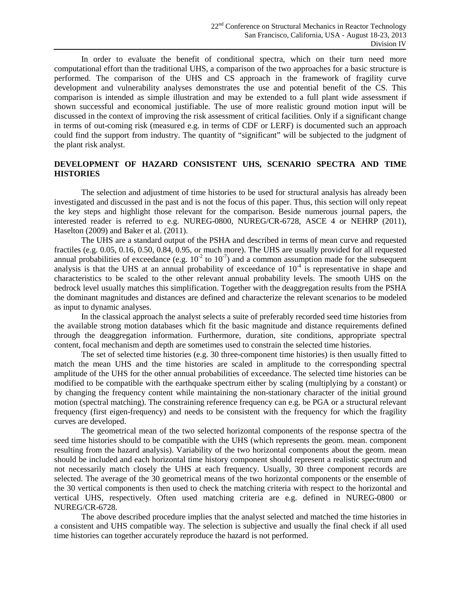In order to evaluate the benefit of conditional spectra, which on their turn need more computational effort than the traditional UHS, a comparison of the two approaches for a basic structure is performed. The comparison of the UHS and CS approach in the framework of fragility curve development and vulnerability analyses demonstrates the use and potential benefit of the CS. This comparison is intended as simple illustration and may be extended to a full plant wide assessment if shown successful and economical justifiable. The use of more realistic ground motion input will be discussed in the context of improving the risk assessment of critical facilities. Only if a significant change in terms of out-coming risk (measured e.g. in terms of CDF or LERF) is documented such an approach could find the support from industry. The quantity of "significant" will be subjected to the judgment of the plant risk analyst.

## **DEVELOPMENT OF HAZARD CONSISTENT UHS, SCENARIO SPECTRA AND TIME HISTORIES**

The selection and adjustment of time histories to be used for structural analysis has already been investigated and discussed in the past and is not the focus of this paper. Thus, this section will only repeat the key steps and highlight those relevant for the comparison. Beside numerous journal papers, the interested reader is referred to e.g. NUREG-0800, NUREG/CR-6728, ASCE 4 or NEHRP (2011), Haselton (2009) and Baker et al. (2011).

The UHS are a standard output of the PSHA and described in terms of mean curve and requested fractiles (e.g. 0.05, 0.16, 0.50, 0.84, 0.95, or much more). The UHS are usually provided for all requested annual probabilities of exceedance (e.g.  $10^{-2}$  to  $10^{-7}$ ) and a common assumption made for the subsequent analysis is that the UHS at an annual probability of exceedance of  $10^{-4}$  is representative in shape and characteristics to be scaled to the other relevant annual probability levels. The smooth UHS on the bedrock level usually matches this simplification. Together with the deaggregation results from the PSHA the dominant magnitudes and distances are defined and characterize the relevant scenarios to be modeled as input to dynamic analyses.

In the classical approach the analyst selects a suite of preferably recorded seed time histories from the available strong motion databases which fit the basic magnitude and distance requirements defined through the deaggregation information. Furthermore, duration, site conditions, appropriate spectral content, focal mechanism and depth are sometimes used to constrain the selected time histories.

The set of selected time histories (e.g. 30 three-component time histories) is then usually fitted to match the mean UHS and the time histories are scaled in amplitude to the corresponding spectral amplitude of the UHS for the other annual probabilities of exceedance. The selected time histories can be modified to be compatible with the earthquake spectrum either by scaling (multiplying by a constant) or by changing the frequency content while maintaining the non-stationary character of the initial ground motion (spectral matching). The constraining reference frequency can e.g. be PGA or a structural relevant frequency (first eigen-frequency) and needs to be consistent with the frequency for which the fragility curves are developed.

The geometrical mean of the two selected horizontal components of the response spectra of the seed time histories should to be compatible with the UHS (which represents the geom. mean. component resulting from the hazard analysis). Variability of the two horizontal components about the geom. mean should be included and each horizontal time history component should represent a realistic spectrum and not necessarily match closely the UHS at each frequency. Usually, 30 three component records are selected. The average of the 30 geometrical means of the two horizontal components or the ensemble of the 30 vertical components is then used to check the matching criteria with respect to the horizontal and vertical UHS, respectively. Often used matching criteria are e.g. defined in NUREG-0800 or NUREG/CR-6728.

The above described procedure implies that the analyst selected and matched the time histories in a consistent and UHS compatible way. The selection is subjective and usually the final check if all used time histories can together accurately reproduce the hazard is not performed.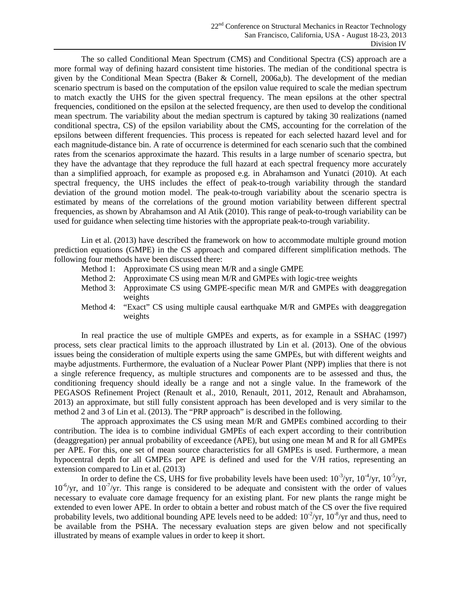The so called Conditional Mean Spectrum (CMS) and Conditional Spectra (CS) approach are a more formal way of defining hazard consistent time histories. The median of the conditional spectra is given by the Conditional Mean Spectra (Baker & Cornell, 2006a,b). The development of the median scenario spectrum is based on the computation of the epsilon value required to scale the median spectrum to match exactly the UHS for the given spectral frequency. The mean epsilons at the other spectral frequencies, conditioned on the epsilon at the selected frequency, are then used to develop the conditional mean spectrum. The variability about the median spectrum is captured by taking 30 realizations (named conditional spectra, CS) of the epsilon variability about the CMS, accounting for the correlation of the epsilons between different frequencies. This process is repeated for each selected hazard level and for each magnitude-distance bin. A rate of occurrence is determined for each scenario such that the combined rates from the scenarios approximate the hazard. This results in a large number of scenario spectra, but they have the advantage that they reproduce the full hazard at each spectral frequency more accurately than a simplified approach, for example as proposed e.g. in Abrahamson and Yunatci (2010). At each spectral frequency, the UHS includes the effect of peak-to-trough variability through the standard deviation of the ground motion model. The peak-to-trough variability about the scenario spectra is estimated by means of the correlations of the ground motion variability between different spectral frequencies, as shown by Abrahamson and Al Atik (2010). This range of peak-to-trough variability can be used for guidance when selecting time histories with the appropriate peak-to-trough variability.

Lin et al. (2013) have described the framework on how to accommodate multiple ground motion prediction equations (GMPE) in the CS approach and compared different simplification methods. The following four methods have been discussed there:

- Method 1: Approximate CS using mean M/R and a single GMPE
- Method 2: Approximate CS using mean M/R and GMPEs with logic-tree weights
- Method 3: Approximate CS using GMPE-specific mean M/R and GMPEs with deaggregation weights
- Method 4: "Exact" CS using multiple causal earthquake M/R and GMPEs with deaggregation weights

In real practice the use of multiple GMPEs and experts, as for example in a SSHAC (1997) process, sets clear practical limits to the approach illustrated by Lin et al. (2013). One of the obvious issues being the consideration of multiple experts using the same GMPEs, but with different weights and maybe adjustments. Furthermore, the evaluation of a Nuclear Power Plant (NPP) implies that there is not a single reference frequency, as multiple structures and components are to be assessed and thus, the conditioning frequency should ideally be a range and not a single value. In the framework of the PEGASOS Refinement Project (Renault et al., 2010, Renault, 2011, 2012, Renault and Abrahamson, 2013) an approximate, but still fully consistent approach has been developed and is very similar to the method 2 and 3 of Lin et al. (2013). The "PRP approach" is described in the following.

The approach approximates the CS using mean M/R and GMPEs combined according to their contribution. The idea is to combine individual GMPEs of each expert according to their contribution (deaggregation) per annual probability of exceedance (APE), but using one mean M and R for all GMPEs per APE. For this, one set of mean source characteristics for all GMPEs is used. Furthermore, a mean hypocentral depth for all GMPEs per APE is defined and used for the V/H ratios, representing an extension compared to Lin et al. (2013)

In order to define the CS, UHS for five probability levels have been used:  $10^{-3}/yr$ ,  $10^{-4}/yr$ ,  $10^{-5}/yr$ ,  $10^{-6}/yr$ , and  $10^{-7}/yr$ . This range is considered to be adequate and consistent with the order of values necessary to evaluate core damage frequency for an existing plant. For new plants the range might be extended to even lower APE. In order to obtain a better and robust match of the CS over the five required probability levels, two additional bounding APE levels need to be added:  $10^{-2}/yr$ ,  $10^{-8}/yr$  and thus, need to be available from the PSHA. The necessary evaluation steps are given below and not specifically illustrated by means of example values in order to keep it short.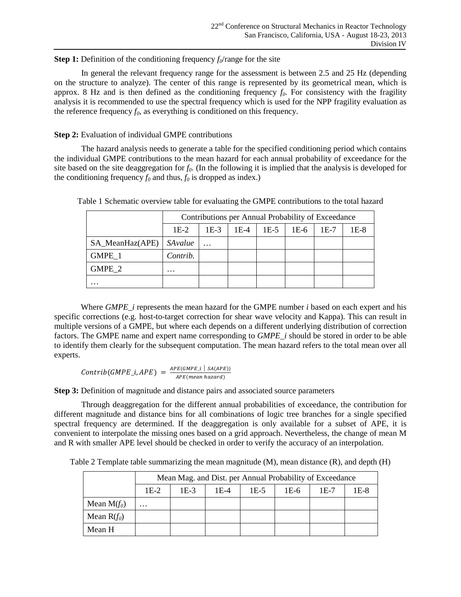## **Step 1:** Definition of the conditioning frequency  $f_0$ /range for the site

In general the relevant frequency range for the assessment is between 2.5 and 25 Hz (depending on the structure to analyze). The center of this range is represented by its geometrical mean, which is approx. 8 Hz and is then defined as the conditioning frequency  $f_0$ . For consistency with the fragility analysis it is recommended to use the spectral frequency which is used for the NPP fragility evaluation as the reference frequency  $f_0$ , as everything is conditioned on this frequency.

# **Step 2:** Evaluation of individual GMPE contributions

The hazard analysis needs to generate a table for the specified conditioning period which contains the individual GMPE contributions to the mean hazard for each annual probability of exceedance for the site based on the site deaggregation for *f0*. (In the following it is implied that the analysis is developed for the conditioning frequency  $f_0$  and thus,  $f_0$  is dropped as index.)

|                 | Contributions per Annual Probability of Exceedance |          |        |        |      |        |        |
|-----------------|----------------------------------------------------|----------|--------|--------|------|--------|--------|
|                 | $1E-2$                                             | $1E-3$   | $1E-4$ | $1E-5$ | 1E-6 | $1E-7$ | $1E-8$ |
| SA_MeanHaz(APE) | SAvalue                                            | $\cdots$ |        |        |      |        |        |
| GMPE 1          | Contrib.                                           |          |        |        |      |        |        |
| GMPE 2          | $\cdots$                                           |          |        |        |      |        |        |
| $\cdots$        |                                                    |          |        |        |      |        |        |

Table 1 Schematic overview table for evaluating the GMPE contributions to the total hazard

Where *GMPE\_i* represents the mean hazard for the GMPE number *i* based on each expert and his specific corrections (e.g. host-to-target correction for shear wave velocity and Kappa). This can result in multiple versions of a GMPE, but where each depends on a different underlying distribution of correction factors. The GMPE name and expert name corresponding to *GMPE\_i* should be stored in order to be able to identify them clearly for the subsequent computation. The mean hazard refers to the total mean over all experts.

$$
Contrib(GMPE\_i, APE) = \frac{_{APE(GMPE\_i} \mid s_{A(APE)})}{_{APE(mean hazard)}}
$$

**Step 3:** Definition of magnitude and distance pairs and associated source parameters

Through deaggregation for the different annual probabilities of exceedance, the contribution for different magnitude and distance bins for all combinations of logic tree branches for a single specified spectral frequency are determined. If the deaggregation is only available for a subset of APE, it is convenient to interpolate the missing ones based on a grid approach. Nevertheless, the change of mean M and R with smaller APE level should be checked in order to verify the accuracy of an interpolation.

Table 2 Template table summarizing the mean magnitude (M), mean distance (R), and depth (H)

|               | Mean Mag. and Dist. per Annual Probability of Exceedance |      |        |        |        |      |      |
|---------------|----------------------------------------------------------|------|--------|--------|--------|------|------|
|               | $1E-2$                                                   | 1E-3 | $1E-4$ | $1E-5$ | $1E-6$ | 1E-7 | 1E-8 |
| Mean $M(f_0)$ | $\cdots$                                                 |      |        |        |        |      |      |
| Mean $R(f_0)$ |                                                          |      |        |        |        |      |      |
| Mean H        |                                                          |      |        |        |        |      |      |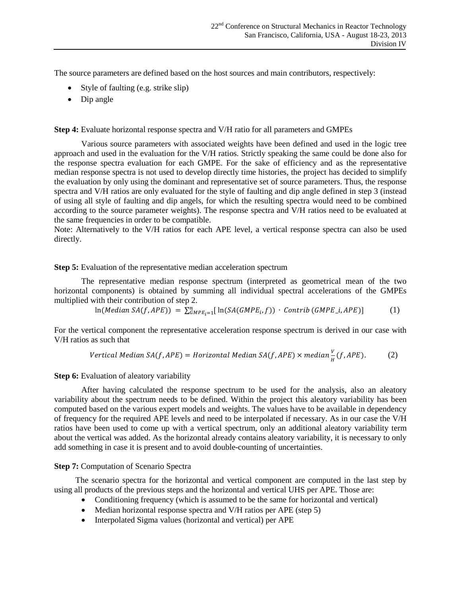The source parameters are defined based on the host sources and main contributors, respectively:

- Style of faulting (e.g. strike slip)
- Dip angle

**Step 4:** Evaluate horizontal response spectra and V/H ratio for all parameters and GMPEs

Various source parameters with associated weights have been defined and used in the logic tree approach and used in the evaluation for the V/H ratios. Strictly speaking the same could be done also for the response spectra evaluation for each GMPE. For the sake of efficiency and as the representative median response spectra is not used to develop directly time histories, the project has decided to simplify the evaluation by only using the dominant and representative set of source parameters. Thus, the response spectra and V/H ratios are only evaluated for the style of faulting and dip angle defined in step 3 (instead of using all style of faulting and dip angels, for which the resulting spectra would need to be combined according to the source parameter weights). The response spectra and V/H ratios need to be evaluated at the same frequencies in order to be compatible.

Note: Alternatively to the V/H ratios for each APE level, a vertical response spectra can also be used directly.

## **Step 5:** Evaluation of the representative median acceleration spectrum

The representative median response spectrum (interpreted as geometrical mean of the two horizontal components) is obtained by summing all individual spectral accelerations of the GMPEs multiplied with their contribution of step 2.

$$
\ln(Median\ SA(f, APE)) = \sum_{GMPE_i=1}^n [\ln(SA(GMPE_i, f)) \cdot \text{Control } (GMPE_i, APE)] \tag{1}
$$

For the vertical component the representative acceleration response spectrum is derived in our case with V/H ratios as such that

Vertical Median SA
$$
(f, APE)
$$
 = Horizontal Median SA $(f, APE)$  × median  $\frac{V}{H}(f, APE)$ . (2)

#### **Step 6:** Evaluation of aleatory variability

After having calculated the response spectrum to be used for the analysis, also an aleatory variability about the spectrum needs to be defined. Within the project this aleatory variability has been computed based on the various expert models and weights. The values have to be available in dependency of frequency for the required APE levels and need to be interpolated if necessary. As in our case the V/H ratios have been used to come up with a vertical spectrum, only an additional aleatory variability term about the vertical was added. As the horizontal already contains aleatory variability, it is necessary to only add something in case it is present and to avoid double-counting of uncertainties.

## **Step 7:** Computation of Scenario Spectra

The scenario spectra for the horizontal and vertical component are computed in the last step by using all products of the previous steps and the horizontal and vertical UHS per APE. Those are:

- Conditioning frequency (which is assumed to be the same for horizontal and vertical)
- Median horizontal response spectra and V/H ratios per APE (step 5)
- Interpolated Sigma values (horizontal and vertical) per APE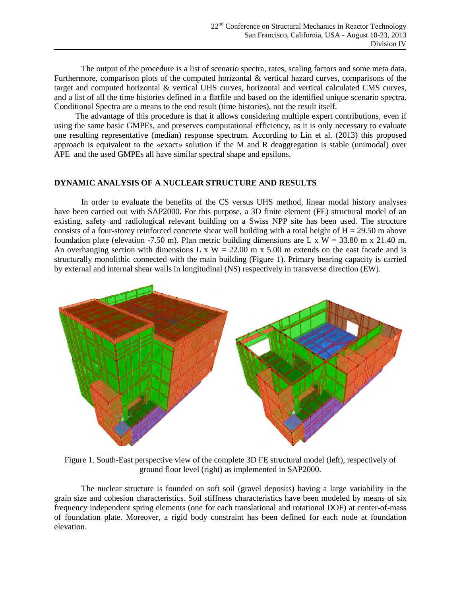The output of the procedure is a list of scenario spectra, rates, scaling factors and some meta data. Furthermore, comparison plots of the computed horizontal & vertical hazard curves, comparisons of the target and computed horizontal & vertical UHS curves, horizontal and vertical calculated CMS curves, and a list of all the time histories defined in a flatfile and based on the identified unique scenario spectra. Conditional Spectra are a means to the end result (time histories), not the result itself.

The advantage of this procedure is that it allows considering multiple expert contributions, even if using the same basic GMPEs, and preserves computational efficiency, as it is only necessary to evaluate one resulting representative (median) response spectrum. According to Lin et al. (2013) this proposed approach is equivalent to the «exact» solution if the M and R deaggregation is stable (unimodal) over APE and the used GMPEs all have similar spectral shape and epsilons.

#### **DYNAMIC ANALYSIS OF A NUCLEAR STRUCTURE AND RESULTS**

In order to evaluate the benefits of the CS versus UHS method, linear modal history analyses have been carried out with SAP2000. For this purpose, a 3D finite element (FE) structural model of an existing, safety and radiological relevant building on a Swiss NPP site has been used. The structure consists of a four-storey reinforced concrete shear wall building with a total height of  $H = 29.50$  m above foundation plate (elevation -7.50 m). Plan metric building dimensions are L x W = 33.80 m x 21.40 m. An overhanging section with dimensions L x  $W = 22.00$  m x 5.00 m extends on the east facade and is structurally monolithic connected with the main building (Figure 1). Primary bearing capacity is carried by external and internal shear walls in longitudinal (NS) respectively in transverse direction (EW).



Figure 1. South-East perspective view of the complete 3D FE structural model (left), respectively of ground floor level (right) as implemented in SAP2000.

The nuclear structure is founded on soft soil (gravel deposits) having a large variability in the grain size and cohesion characteristics. Soil stiffness characteristics have been modeled by means of six frequency independent spring elements (one for each translational and rotational DOF) at center-of-mass of foundation plate. Moreover, a rigid body constraint has been defined for each node at foundation elevation.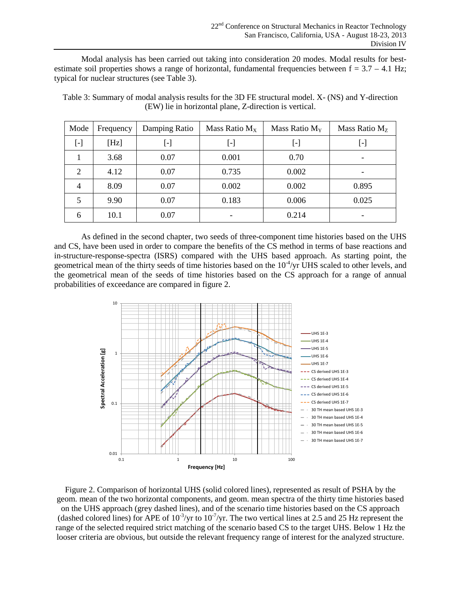Modal analysis has been carried out taking into consideration 20 modes. Modal results for bestestimate soil properties shows a range of horizontal, fundamental frequencies between  $f = 3.7 - 4.1$  Hz; typical for nuclear structures (see Table 3).

Table 3: Summary of modal analysis results for the 3D FE structural model. X- (NS) and Y-direction (EW) lie in horizontal plane, Z-direction is vertical.

| Mode           | Frequency | Damping Ratio | Mass Ratio $M_x$         | Mass Ratio $M_Y$ | Mass Ratio $Mz$ |
|----------------|-----------|---------------|--------------------------|------------------|-----------------|
| [-]            | [Hz]      | ŀJ            | [-]                      | [-]              | ŀ.              |
|                | 3.68      | 0.07          | 0.001                    | 0.70             |                 |
| $\overline{c}$ | 4.12      | 0.07          | 0.735                    | 0.002            |                 |
| 4              | 8.09      | 0.07          | 0.002                    | 0.002            | 0.895           |
| 5              | 9.90      | 0.07          | 0.183                    | 0.006            | 0.025           |
| 6              | 10.1      | 0.07          | $\overline{\phantom{0}}$ | 0.214            |                 |

As defined in the second chapter, two seeds of three-component time histories based on the UHS and CS, have been used in order to compare the benefits of the CS method in terms of base reactions and in-structure-response-spectra (ISRS) compared with the UHS based approach. As starting point, the geometrical mean of the thirty seeds of time histories based on the  $10^{-4}/yr$  UHS scaled to other levels, and the geometrical mean of the seeds of time histories based on the CS approach for a range of annual probabilities of exceedance are compared in figure 2.



Figure 2. Comparison of horizontal UHS (solid colored lines), represented as result of PSHA by the geom. mean of the two horizontal components, and geom. mean spectra of the thirty time histories based on the UHS approach (grey dashed lines), and of the scenario time histories based on the CS approach (dashed colored lines) for APE of  $10^{-3}$ /yr to  $10^{-7}$ /yr. The two vertical lines at 2.5 and 25 Hz represent the range of the selected required strict matching of the scenario based CS to the target UHS. Below 1 Hz the looser criteria are obvious, but outside the relevant frequency range of interest for the analyzed structure.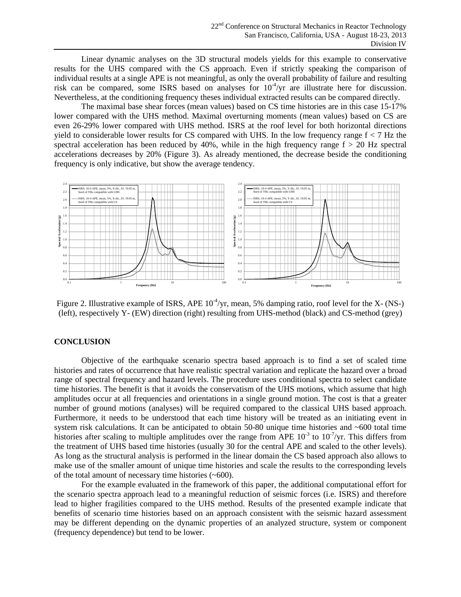Linear dynamic analyses on the 3D structural models yields for this example to conservative results for the UHS compared with the CS approach. Even if strictly speaking the comparison of individual results at a single APE is not meaningful, as only the overall probability of failure and resulting risk can be compared, some ISRS based on analyses for  $10^{-4}/yr$  are illustrate here for discussion. Nevertheless, at the conditioning frequency theses individual extracted results can be compared directly.

The maximal base shear forces (mean values) based on CS time histories are in this case 15-17% lower compared with the UHS method. Maximal overturning moments (mean values) based on CS are even 26-29% lower compared with UHS method. ISRS at the roof level for both horizontal directions yield to considerable lower results for CS compared with UHS. In the low frequency range  $f < 7$  Hz the spectral acceleration has been reduced by  $40\%$ , while in the high frequency range  $f > 20$  Hz spectral accelerations decreases by 20% (Figure 3). As already mentioned, the decrease beside the conditioning frequency is only indicative, but show the average tendency.



Figure 2. Illustrative example of ISRS, APE  $10^{-4}/yr$ , mean, 5% damping ratio, roof level for the X- (NS-) (left), respectively Y- (EW) direction (right) resulting from UHS-method (black) and CS-method (grey)

## **CONCLUSION**

Objective of the earthquake scenario spectra based approach is to find a set of scaled time histories and rates of occurrence that have realistic spectral variation and replicate the hazard over a broad range of spectral frequency and hazard levels. The procedure uses conditional spectra to select candidate time histories. The benefit is that it avoids the conservatism of the UHS motions, which assume that high amplitudes occur at all frequencies and orientations in a single ground motion. The cost is that a greater number of ground motions (analyses) will be required compared to the classical UHS based approach. Furthermore, it needs to be understood that each time history will be treated as an initiating event in system risk calculations. It can be anticipated to obtain 50-80 unique time histories and ~600 total time histories after scaling to multiple amplitudes over the range from APE  $10^{-3}$  to  $10^{-7}$ /yr. This differs from the treatment of UHS based time histories (usually 30 for the central APE and scaled to the other levels). As long as the structural analysis is performed in the linear domain the CS based approach also allows to make use of the smaller amount of unique time histories and scale the results to the corresponding levels of the total amount of necessary time histories (~600).

For the example evaluated in the framework of this paper, the additional computational effort for the scenario spectra approach lead to a meaningful reduction of seismic forces (i.e. ISRS) and therefore lead to higher fragilities compared to the UHS method. Results of the presented example indicate that benefits of scenario time histories based on an approach consistent with the seismic hazard assessment may be different depending on the dynamic properties of an analyzed structure, system or component (frequency dependence) but tend to be lower.